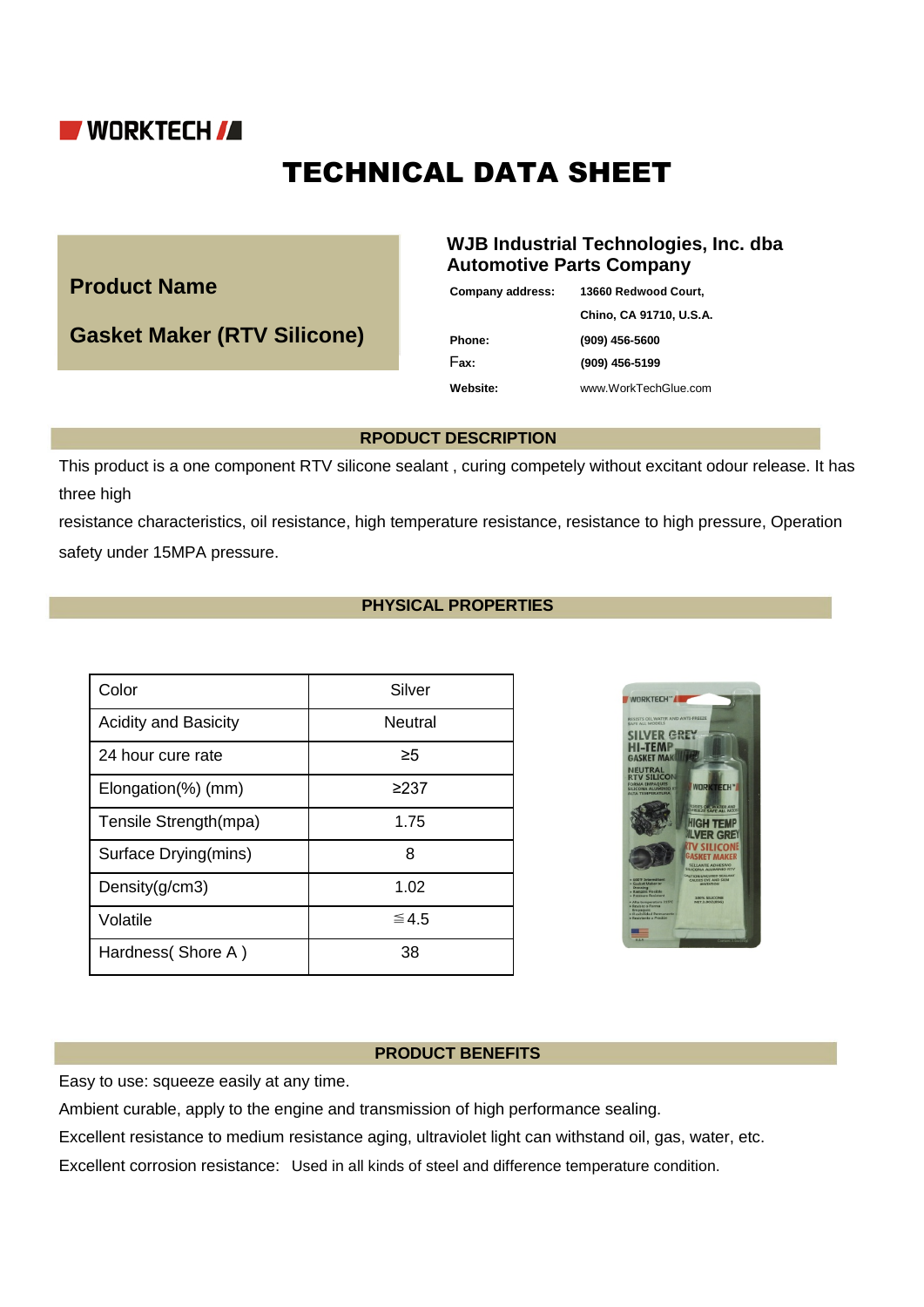

# TECHNICAL DATA SHEET

**Product Name** 

**Gasket Maker (RTV Silicone)**

## **WJB Industrial Technologies, Inc. dba Automotive Parts Company**

| Company address: | 13660 Redwood Court,    |
|------------------|-------------------------|
|                  | Chino, CA 91710, U.S.A. |
| Phone:           | $(909)$ 456-5600        |
| Fax:             | (909) 456-5199          |
| Website:         | www.WorkTechGlue.com    |
|                  |                         |

### **RPODUCT DESCRIPTION**

This product is a one component RTV silicone sealant , curing competely without excitant odour release. It has three high

resistance characteristics, oil resistance, high temperature resistance, resistance to high pressure, Operation safety under 15MPA pressure.

## **PHYSICAL PROPERTIES**

| Color                       | Silver         |
|-----------------------------|----------------|
| <b>Acidity and Basicity</b> | <b>Neutral</b> |
| 24 hour cure rate           | ≥5             |
| Elongation(%) (mm)          | ≥237           |
| Tensile Strength(mpa)       | 1.75           |
| Surface Drying(mins)        | 8              |
| Density $(g/cm3)$           | 1.02           |
| Volatile                    | $\leq 4.5$     |
| Hardness (Shore A)          | 38             |



#### **PRODUCT BENEFITS**

Easy to use: squeeze easily at any time.

Ambient curable, apply to the engine and transmission of high performance sealing.

Excellent resistance to medium resistance aging, ultraviolet light can withstand oil, gas, water, etc.

Excellent corrosion resistance: Used in all kinds of steel and difference temperature condition.